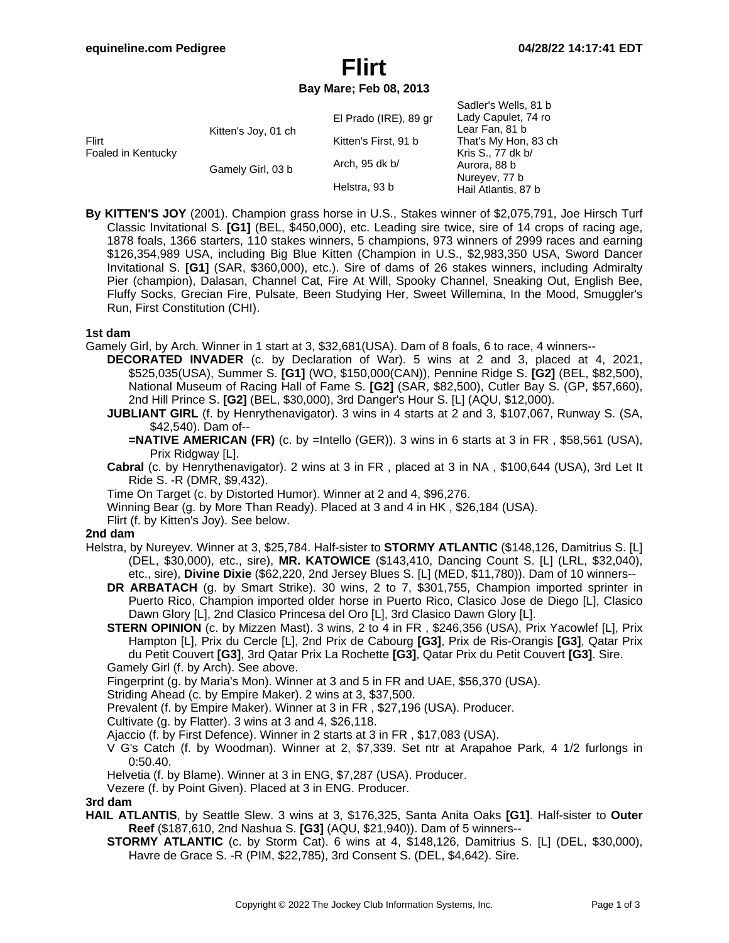## **Flirt Bay Mare; Feb 08, 2013**

|                             |                     |                       | Sadler's Wells, 81 b |
|-----------------------------|---------------------|-----------------------|----------------------|
| Flirt<br>Foaled in Kentucky | Kitten's Joy, 01 ch | El Prado (IRE), 89 gr | Lady Capulet, 74 ro  |
|                             |                     |                       | Lear Fan, 81 b       |
|                             |                     | Kitten's First, 91 b  | That's My Hon, 83 ch |
|                             |                     |                       | Kris S., 77 dk b/    |
|                             | Gamely Girl, 03 b   | Arch, 95 dk b/        | Aurora, 88 b         |
|                             |                     |                       | Nureyev, 77 b        |
|                             |                     | Helstra, 93 b         | Hail Atlantis, 87 b  |

**By KITTEN'S JOY** (2001). Champion grass horse in U.S., Stakes winner of \$2,075,791, Joe Hirsch Turf Classic Invitational S. **[G1]** (BEL, \$450,000), etc. Leading sire twice, sire of 14 crops of racing age, 1878 foals, 1366 starters, 110 stakes winners, 5 champions, 973 winners of 2999 races and earning \$126,354,989 USA, including Big Blue Kitten (Champion in U.S., \$2,983,350 USA, Sword Dancer Invitational S. **[G1]** (SAR, \$360,000), etc.). Sire of dams of 26 stakes winners, including Admiralty Pier (champion), Dalasan, Channel Cat, Fire At Will, Spooky Channel, Sneaking Out, English Bee, Fluffy Socks, Grecian Fire, Pulsate, Been Studying Her, Sweet Willemina, In the Mood, Smuggler's Run, First Constitution (CHI).

#### **1st dam**

- Gamely Girl, by Arch. Winner in 1 start at 3, \$32,681(USA). Dam of 8 foals, 6 to race, 4 winners--
	- **DECORATED INVADER** (c. by Declaration of War). 5 wins at 2 and 3, placed at 4, 2021, \$525,035(USA), Summer S. **[G1]** (WO, \$150,000(CAN)), Pennine Ridge S. **[G2]** (BEL, \$82,500), National Museum of Racing Hall of Fame S. **[G2]** (SAR, \$82,500), Cutler Bay S. (GP, \$57,660), 2nd Hill Prince S. **[G2]** (BEL, \$30,000), 3rd Danger's Hour S. [L] (AQU, \$12,000).
	- **JUBLIANT GIRL** (f. by Henrythenavigator). 3 wins in 4 starts at 2 and 3, \$107,067, Runway S. (SA, \$42,540). Dam of--
		- **=NATIVE AMERICAN (FR)** (c. by =Intello (GER)). 3 wins in 6 starts at 3 in FR, \$58,561 (USA), Prix Ridgway [L].
	- **Cabral** (c. by Henrythenavigator). 2 wins at 3 in FR , placed at 3 in NA , \$100,644 (USA), 3rd Let It Ride S. -R (DMR, \$9,432).
	- Time On Target (c. by Distorted Humor). Winner at 2 and 4, \$96,276.
	- Winning Bear (g. by More Than Ready). Placed at 3 and 4 in HK , \$26,184 (USA).
	- Flirt (f. by Kitten's Joy). See below.

### **2nd dam**

- Helstra, by Nureyev. Winner at 3, \$25,784. Half-sister to **STORMY ATLANTIC** (\$148,126, Damitrius S. [L] (DEL, \$30,000), etc., sire), **MR. KATOWICE** (\$143,410, Dancing Count S. [L] (LRL, \$32,040), etc., sire), **Divine Dixie** (\$62,220, 2nd Jersey Blues S. [L] (MED, \$11,780)). Dam of 10 winners--
	- **DR ARBATACH** (g. by Smart Strike). 30 wins, 2 to 7, \$301,755, Champion imported sprinter in Puerto Rico, Champion imported older horse in Puerto Rico, Clasico Jose de Diego [L], Clasico Dawn Glory [L], 2nd Clasico Princesa del Oro [L], 3rd Clasico Dawn Glory [L].
	- **STERN OPINION** (c. by Mizzen Mast). 3 wins, 2 to 4 in FR , \$246,356 (USA), Prix Yacowlef [L], Prix Hampton [L], Prix du Cercle [L], 2nd Prix de Cabourg **[G3]**, Prix de Ris-Orangis **[G3]**, Qatar Prix du Petit Couvert **[G3]**, 3rd Qatar Prix La Rochette **[G3]**, Qatar Prix du Petit Couvert **[G3]**. Sire. Gamely Girl (f. by Arch). See above.
	- Fingerprint (g. by Maria's Mon). Winner at 3 and 5 in FR and UAE, \$56,370 (USA).
	- Striding Ahead (c. by Empire Maker). 2 wins at 3, \$37,500.
	- Prevalent (f. by Empire Maker). Winner at 3 in FR , \$27,196 (USA). Producer.
	- Cultivate (g. by Flatter). 3 wins at 3 and 4, \$26,118.
	- Ajaccio (f. by First Defence). Winner in 2 starts at 3 in FR , \$17,083 (USA).
	- V G's Catch (f. by Woodman). Winner at 2, \$7,339. Set ntr at Arapahoe Park, 4 1/2 furlongs in 0:50.40.
	- Helvetia (f. by Blame). Winner at 3 in ENG, \$7,287 (USA). Producer.
	- Vezere (f. by Point Given). Placed at 3 in ENG. Producer.

#### **3rd dam**

- **HAIL ATLANTIS**, by Seattle Slew. 3 wins at 3, \$176,325, Santa Anita Oaks **[G1]**. Half-sister to **Outer Reef** (\$187,610, 2nd Nashua S. **[G3]** (AQU, \$21,940)). Dam of 5 winners--
	- **STORMY ATLANTIC** (c. by Storm Cat). 6 wins at 4, \$148,126, Damitrius S. [L] (DEL, \$30,000), Havre de Grace S. -R (PIM, \$22,785), 3rd Consent S. (DEL, \$4,642). Sire.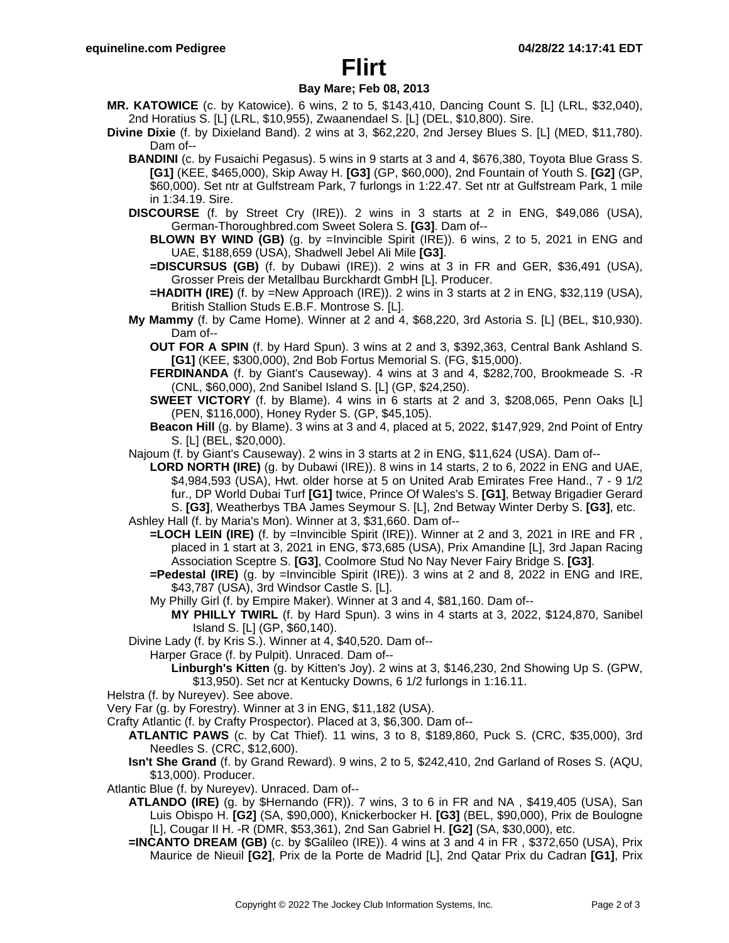# **Flirt**

### **Bay Mare; Feb 08, 2013**

- **MR. KATOWICE** (c. by Katowice). 6 wins, 2 to 5, \$143,410, Dancing Count S. [L] (LRL, \$32,040), 2nd Horatius S. [L] (LRL, \$10,955), Zwaanendael S. [L] (DEL, \$10,800). Sire.
- **Divine Dixie** (f. by Dixieland Band). 2 wins at 3, \$62,220, 2nd Jersey Blues S. [L] (MED, \$11,780). Dam of--
	- **BANDINI** (c. by Fusaichi Pegasus). 5 wins in 9 starts at 3 and 4, \$676,380, Toyota Blue Grass S. **[G1]** (KEE, \$465,000), Skip Away H. **[G3]** (GP, \$60,000), 2nd Fountain of Youth S. **[G2]** (GP, \$60,000). Set ntr at Gulfstream Park, 7 furlongs in 1:22.47. Set ntr at Gulfstream Park, 1 mile in 1:34.19. Sire.
	- **DISCOURSE** (f. by Street Cry (IRE)). 2 wins in 3 starts at 2 in ENG, \$49,086 (USA), German-Thoroughbred.com Sweet Solera S. **[G3]**. Dam of--
		- **BLOWN BY WIND (GB)** (g. by =Invincible Spirit (IRE)). 6 wins, 2 to 5, 2021 in ENG and UAE, \$188,659 (USA), Shadwell Jebel Ali Mile **[G3]**.
		- **=DISCURSUS (GB)** (f. by Dubawi (IRE)). 2 wins at 3 in FR and GER, \$36,491 (USA), Grosser Preis der Metallbau Burckhardt GmbH [L]. Producer.
		- **=HADITH (IRE)** (f. by =New Approach (IRE)). 2 wins in 3 starts at 2 in ENG, \$32,119 (USA), British Stallion Studs E.B.F. Montrose S. [L].
	- **My Mammy** (f. by Came Home). Winner at 2 and 4, \$68,220, 3rd Astoria S. [L] (BEL, \$10,930). Dam of--
		- **OUT FOR A SPIN** (f. by Hard Spun). 3 wins at 2 and 3, \$392,363, Central Bank Ashland S. **[G1]** (KEE, \$300,000), 2nd Bob Fortus Memorial S. (FG, \$15,000).
		- **FERDINANDA** (f. by Giant's Causeway). 4 wins at 3 and 4, \$282,700, Brookmeade S. -R (CNL, \$60,000), 2nd Sanibel Island S. [L] (GP, \$24,250).
		- **SWEET VICTORY** (f. by Blame). 4 wins in 6 starts at 2 and 3, \$208,065, Penn Oaks [L] (PEN, \$116,000), Honey Ryder S. (GP, \$45,105).
		- **Beacon Hill** (g. by Blame). 3 wins at 3 and 4, placed at 5, 2022, \$147,929, 2nd Point of Entry S. [L] (BEL, \$20,000).
	- Najoum (f. by Giant's Causeway). 2 wins in 3 starts at 2 in ENG, \$11,624 (USA). Dam of--
		- **LORD NORTH (IRE)** (g. by Dubawi (IRE)). 8 wins in 14 starts, 2 to 6, 2022 in ENG and UAE, \$4,984,593 (USA), Hwt. older horse at 5 on United Arab Emirates Free Hand., 7 - 9 1/2 fur., DP World Dubai Turf **[G1]** twice, Prince Of Wales's S. **[G1]**, Betway Brigadier Gerard S. **[G3]**, Weatherbys TBA James Seymour S. [L], 2nd Betway Winter Derby S. **[G3]**, etc.
	- Ashley Hall (f. by Maria's Mon). Winner at 3, \$31,660. Dam of--
		- **=LOCH LEIN (IRE)** (f. by =Invincible Spirit (IRE)). Winner at 2 and 3, 2021 in IRE and FR , placed in 1 start at 3, 2021 in ENG, \$73,685 (USA), Prix Amandine [L], 3rd Japan Racing Association Sceptre S. **[G3]**, Coolmore Stud No Nay Never Fairy Bridge S. **[G3]**.
		- **=Pedestal (IRE)** (g. by =Invincible Spirit (IRE)). 3 wins at 2 and 8, 2022 in ENG and IRE, \$43,787 (USA), 3rd Windsor Castle S. [L].
		- My Philly Girl (f. by Empire Maker). Winner at 3 and 4, \$81,160. Dam of--
			- **MY PHILLY TWIRL** (f. by Hard Spun). 3 wins in 4 starts at 3, 2022, \$124,870, Sanibel Island S. [L] (GP, \$60,140).
	- Divine Lady (f. by Kris S.). Winner at 4, \$40,520. Dam of--
		- Harper Grace (f. by Pulpit). Unraced. Dam of--
			- **Linburgh's Kitten** (g. by Kitten's Joy). 2 wins at 3, \$146,230, 2nd Showing Up S. (GPW, \$13,950). Set ncr at Kentucky Downs, 6 1/2 furlongs in 1:16.11.
- Helstra (f. by Nureyev). See above.
- Very Far (g. by Forestry). Winner at 3 in ENG, \$11,182 (USA).
- Crafty Atlantic (f. by Crafty Prospector). Placed at 3, \$6,300. Dam of--
	- **ATLANTIC PAWS** (c. by Cat Thief). 11 wins, 3 to 8, \$189,860, Puck S. (CRC, \$35,000), 3rd Needles S. (CRC, \$12,600).
	- **Isn't She Grand** (f. by Grand Reward). 9 wins, 2 to 5, \$242,410, 2nd Garland of Roses S. (AQU, \$13,000). Producer.
- Atlantic Blue (f. by Nureyev). Unraced. Dam of--
	- **ATLANDO (IRE)** (g. by \$Hernando (FR)). 7 wins, 3 to 6 in FR and NA , \$419,405 (USA), San Luis Obispo H. **[G2]** (SA, \$90,000), Knickerbocker H. **[G3]** (BEL, \$90,000), Prix de Boulogne [L], Cougar II H. -R (DMR, \$53,361), 2nd San Gabriel H. **[G2]** (SA, \$30,000), etc.
	- **=INCANTO DREAM (GB)** (c. by \$Galileo (IRE)). 4 wins at 3 and 4 in FR , \$372,650 (USA), Prix Maurice de Nieuil **[G2]**, Prix de la Porte de Madrid [L], 2nd Qatar Prix du Cadran **[G1]**, Prix